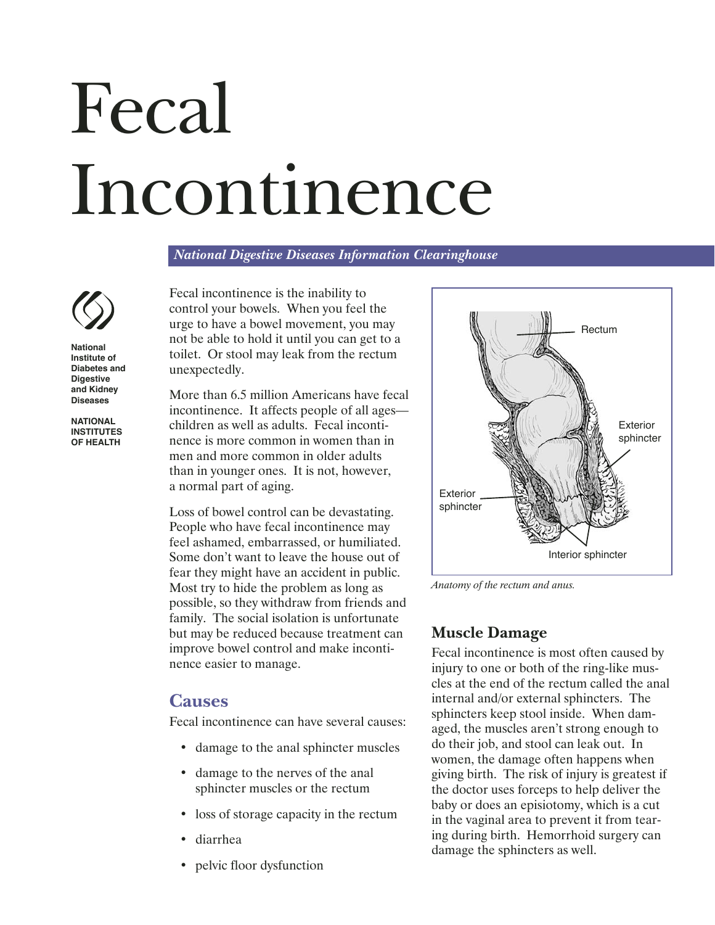# Fecal Incontinence

*National Digestive Diseases Information Clearinghouse*



**National Institute of Diabetes and Digestive and Kidney Diseases**

**NATIONAL INSTITUTES OF HEALTH** Fecal incontinence is the inability to control your bowels. When you feel the urge to have a bowel movement, you may not be able to hold it until you can get to a toilet. Or stool may leak from the rectum unexpectedly.

More than 6.5 million Americans have fecal incontinence. It affects people of all ages children as well as adults. Fecal incontinence is more common in women than in men and more common in older adults than in younger ones. It is not, however, a normal part of aging.

Loss of bowel control can be devastating. People who have fecal incontinence may feel ashamed, embarrassed, or humiliated. Some don't want to leave the house out of fear they might have an accident in public. Most try to hide the problem as long as possible, so they withdraw from friends and family. The social isolation is unfortunate but may be reduced because treatment can improve bowel control and make incontinence easier to manage.

## **Causes**

Fecal incontinence can have several causes:

- damage to the anal sphincter muscles
- damage to the nerves of the anal sphincter muscles or the rectum
- loss of storage capacity in the rectum
- diarrhea
- pelvic floor dysfunction



*Anatomy of the rectum and anus.*

## **Muscle Damage**

Fecal incontinence is most often caused by injury to one or both of the ring-like muscles at the end of the rectum called the anal internal and/or external sphincters. The sphincters keep stool inside. When damaged, the muscles aren't strong enough to do their job, and stool can leak out. In women, the damage often happens when giving birth. The risk of injury is greatest if the doctor uses forceps to help deliver the baby or does an episiotomy, which is a cut in the vaginal area to prevent it from tearing during birth. Hemorrhoid surgery can damage the sphincters as well.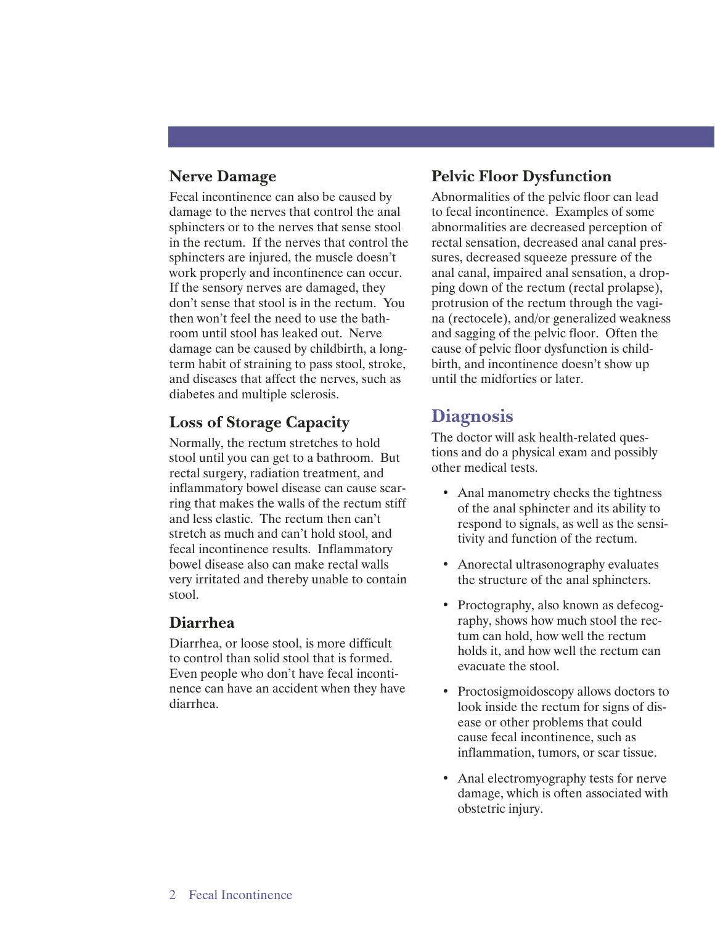## **Nerve Damage**

Fecal incontinence can also be caused by damage to the nerves that control the anal sphincters or to the nerves that sense stool in the rectum. If the nerves that control the sphincters are injured, the muscle doesn't work properly and incontinence can occur. If the sensory nerves are damaged, they don't sense that stool is in the rectum. You then won't feel the need to use the bathroom until stool has leaked out. Nerve damage can be caused by childbirth, a longterm habit of straining to pass stool, stroke, and diseases that affect the nerves, such as diabetes and multiple sclerosis.

## **Loss of Storage Capacity**

Normally, the rectum stretches to hold stool until you can get to a bathroom. But rectal surgery, radiation treatment, and inflammatory bowel disease can cause scarring that makes the walls of the rectum stiff and less elastic. The rectum then can't stretch as much and can't hold stool, and fecal incontinence results. Inflammatory bowel disease also can make rectal walls very irritated and thereby unable to contain stool.

### **Diarrhea**

Diarrhea, or loose stool, is more difficult to control than solid stool that is formed. Even people who don't have fecal incontinence can have an accident when they have diarrhea.

## **Pelvic Floor Dysfunction**

Abnormalities of the pelvic floor can lead to fecal incontinence. Examples of some abnormalities are decreased perception of rectal sensation, decreased anal canal pressures, decreased squeeze pressure of the anal canal, impaired anal sensation, a dropping down of the rectum (rectal prolapse), protrusion of the rectum through the vagina (rectocele), and/or generalized weakness and sagging of the pelvic floor. Often the cause of pelvic floor dysfunction is childbirth, and incontinence doesn't show up until the midforties or later.

# **Diagnosis**

The doctor will ask health-related questions and do a physical exam and possibly other medical tests.

- Anal manometry checks the tightness of the anal sphincter and its ability to respond to signals, as well as the sensitivity and function of the rectum.
- Anorectal ultrasonography evaluates the structure of the anal sphincters.
- Proctography, also known as defecography, shows how much stool the rectum can hold, how well the rectum holds it, and how well the rectum can evacuate the stool.
- Proctosigmoidoscopy allows doctors to look inside the rectum for signs of disease or other problems that could cause fecal incontinence, such as inflammation, tumors, or scar tissue.
- Anal electromyography tests for nerve damage, which is often associated with obstetric injury.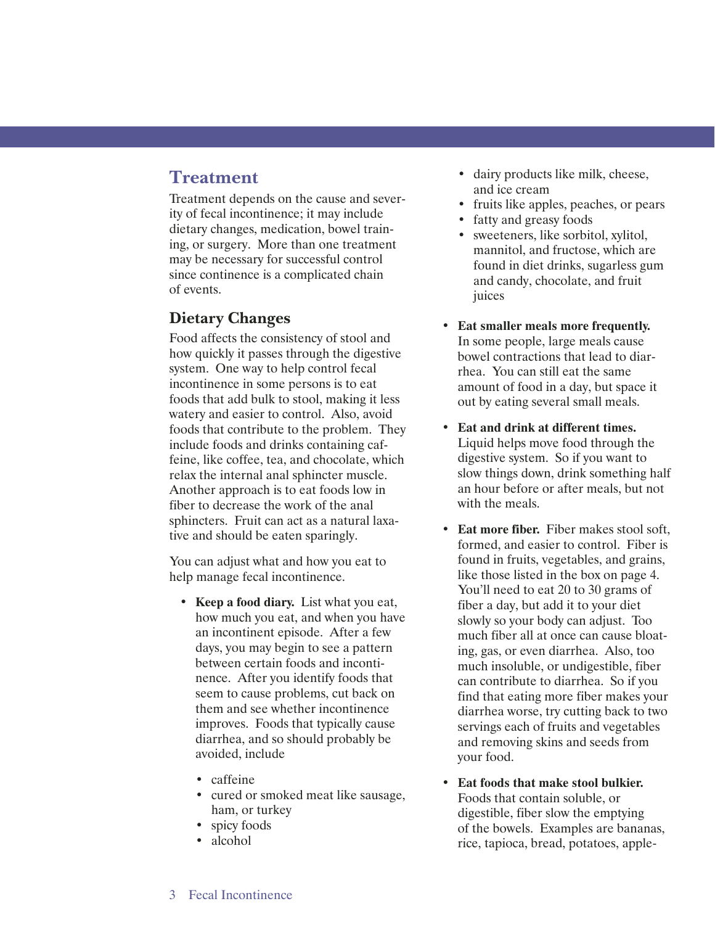# **Treatment**

Treatment depends on the cause and severity of fecal incontinence; it may include dietary changes, medication, bowel training, or surgery. More than one treatment may be necessary for successful control since continence is a complicated chain of events.

## **Dietary Changes**

Food affects the consistency of stool and how quickly it passes through the digestive system. One way to help control fecal incontinence in some persons is to eat foods that add bulk to stool, making it less watery and easier to control. Also, avoid foods that contribute to the problem. They include foods and drinks containing caffeine, like coffee, tea, and chocolate, which relax the internal anal sphincter muscle. Another approach is to eat foods low in fiber to decrease the work of the anal sphincters. Fruit can act as a natural laxative and should be eaten sparingly.

You can adjust what and how you eat to help manage fecal incontinence.

- **Keep a food diary.** List what you eat, how much you eat, and when you have an incontinent episode. After a few days, you may begin to see a pattern between certain foods and incontinence. After you identify foods that seem to cause problems, cut back on them and see whether incontinence improves. Foods that typically cause diarrhea, and so should probably be avoided, include
	- caffeine
	- cured or smoked meat like sausage, ham, or turkey
	- spicy foods
	- alcohol
- dairy products like milk, cheese, and ice cream
- fruits like apples, peaches, or pears
- fatty and greasy foods
- sweeteners, like sorbitol, xylitol, mannitol, and fructose, which are found in diet drinks, sugarless gum and candy, chocolate, and fruit juices
- **Eat smaller meals more frequently.** In some people, large meals cause bowel contractions that lead to diarrhea. You can still eat the same amount of food in a day, but space it out by eating several small meals.
- **Eat and drink at different times.** Liquid helps move food through the digestive system. So if you want to slow things down, drink something half an hour before or after meals, but not with the meals.
- **Eat more fiber.** Fiber makes stool soft, formed, and easier to control. Fiber is found in fruits, vegetables, and grains, like those listed in the box on page 4. You'll need to eat 20 to 30 grams of fiber a day, but add it to your diet slowly so your body can adjust. Too much fiber all at once can cause bloating, gas, or even diarrhea. Also, too much insoluble, or undigestible, fiber can contribute to diarrhea. So if you find that eating more fiber makes your diarrhea worse, try cutting back to two servings each of fruits and vegetables and removing skins and seeds from your food.
- **Eat foods that make stool bulkier.** Foods that contain soluble, or digestible, fiber slow the emptying of the bowels. Examples are bananas, rice, tapioca, bread, potatoes, apple-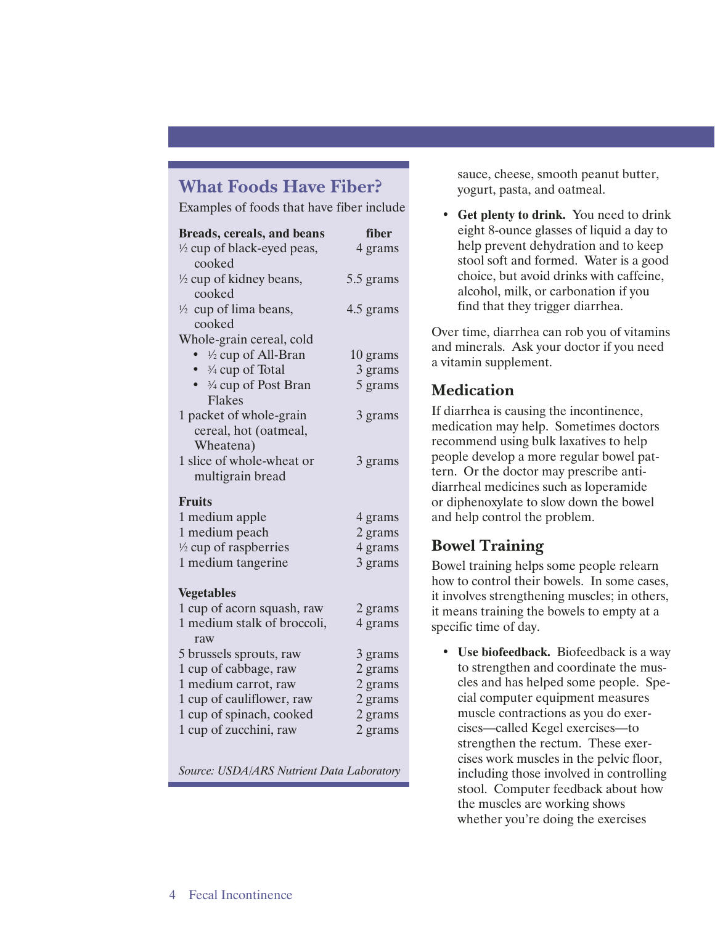# **What Foods Have Fiber?**

Examples of foods that have fiber include

| <b>Breads, cereals, and beans</b>  | fiber     |
|------------------------------------|-----------|
| 1/2 cup of black-eyed peas,        | 4 grams   |
| cooked                             |           |
| $\frac{1}{2}$ cup of kidney beans, | 5.5 grams |
| cooked                             |           |
| $\frac{1}{2}$ cup of lima beans,   | 4.5 grams |
| cooked                             |           |
| Whole-grain cereal, cold           |           |
| $\bullet$ 1/2 cup of All-Bran      | 10 grams  |
| • 3/4 cup of Total                 | 3 grams   |
| • <sup>3/4</sup> cup of Post Bran  | 5 grams   |
| Flakes                             |           |
| 1 packet of whole-grain            | 3 grams   |
| cereal, hot (oatmeal,              |           |
| Wheatena)                          |           |
| 1 slice of whole-wheat or          | 3 grams   |
| multigrain bread                   |           |
| Fruits                             |           |
| 1 medium apple                     | 4 grams   |
| 1 medium peach                     | 2 grams   |
| $\frac{1}{2}$ cup of raspberries   | 4 grams   |
| 1 medium tangerine                 | 3 grams   |
| <b>Vegetables</b>                  |           |
| 1 cup of acorn squash, raw         | 2 grams   |
| 1 medium stalk of broccoli,        | 4 grams   |
| raw                                |           |
| 5 brussels sprouts, raw            | 3 grams   |
| 1 cup of cabbage, raw              | 2 grams   |
| 1 medium carrot, raw               | 2 grams   |
| 1 cup of cauliflower, raw          | 2 grams   |
| 1 cup of spinach, cooked           | 2 grams   |

*Source: USDA/ARS Nutrient Data Laboratory*

1 cup of zucchini, raw 2 grams

sauce, cheese, smooth peanut butter, yogurt, pasta, and oatmeal.

• **Get plenty to drink.** You need to drink eight 8-ounce glasses of liquid a day to help prevent dehydration and to keep stool soft and formed. Water is a good choice, but avoid drinks with caffeine, alcohol, milk, or carbonation if you find that they trigger diarrhea.

Over time, diarrhea can rob you of vitamins and minerals. Ask your doctor if you need a vitamin supplement.

## **Medication**

If diarrhea is causing the incontinence, medication may help. Sometimes doctors recommend using bulk laxatives to help people develop a more regular bowel pattern. Or the doctor may prescribe antidiarrheal medicines such as loperamide or diphenoxylate to slow down the bowel and help control the problem.

# **Bowel Training**

Bowel training helps some people relearn how to control their bowels. In some cases, it involves strengthening muscles; in others, it means training the bowels to empty at a specific time of day.

• **Use biofeedback.** Biofeedback is a way to strengthen and coordinate the muscles and has helped some people. Special computer equipment measures muscle contractions as you do exercises—called Kegel exercises—to strengthen the rectum. These exercises work muscles in the pelvic floor, including those involved in controlling stool. Computer feedback about how the muscles are working shows whether you're doing the exercises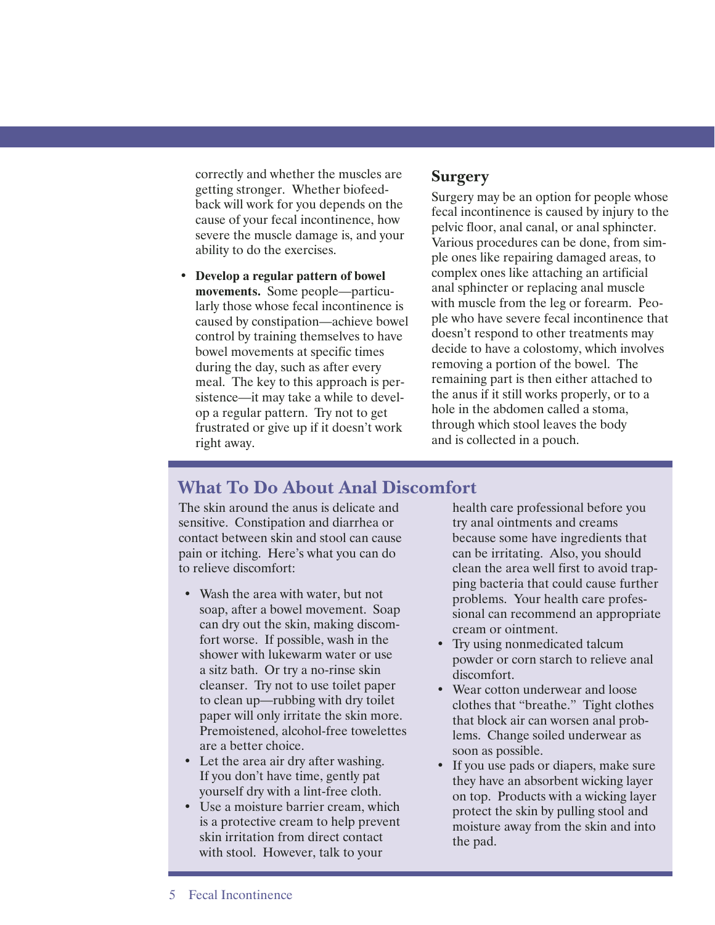correctly and whether the muscles are getting stronger. Whether biofeedback will work for you depends on the cause of your fecal incontinence, how severe the muscle damage is, and your ability to do the exercises.

• **Develop a regular pattern of bowel movements.** Some people—particularly those whose fecal incontinence is caused by constipation—achieve bowel control by training themselves to have bowel movements at specific times during the day, such as after every meal. The key to this approach is persistence—it may take a while to develop a regular pattern. Try not to get frustrated or give up if it doesn't work right away.

#### **Surgery**

Surgery may be an option for people whose fecal incontinence is caused by injury to the pelvic floor, anal canal, or anal sphincter. Various procedures can be done, from simple ones like repairing damaged areas, to complex ones like attaching an artificial anal sphincter or replacing anal muscle with muscle from the leg or forearm. People who have severe fecal incontinence that doesn't respond to other treatments may decide to have a colostomy, which involves removing a portion of the bowel. The remaining part is then either attached to the anus if it still works properly, or to a hole in the abdomen called a stoma, through which stool leaves the body and is collected in a pouch.

## **What To Do About Anal Discomfort**

The skin around the anus is delicate and sensitive. Constipation and diarrhea or contact between skin and stool can cause pain or itching. Here's what you can do to relieve discomfort:

- Wash the area with water, but not soap, after a bowel movement. Soap can dry out the skin, making discomfort worse. If possible, wash in the shower with lukewarm water or use a sitz bath. Or try a no-rinse skin cleanser. Try not to use toilet paper to clean up—rubbing with dry toilet paper will only irritate the skin more. Premoistened, alcohol-free towelettes are a better choice.
- Let the area air dry after washing. If you don't have time, gently pat yourself dry with a lint-free cloth.
- Use a moisture barrier cream, which is a protective cream to help prevent skin irritation from direct contact with stool. However, talk to your

health care professional before you try anal ointments and creams because some have ingredients that can be irritating. Also, you should clean the area well first to avoid trapping bacteria that could cause further problems. Your health care professional can recommend an appropriate cream or ointment.

- Try using nonmedicated talcum powder or corn starch to relieve anal discomfort.
- Wear cotton underwear and loose clothes that "breathe." Tight clothes that block air can worsen anal problems. Change soiled underwear as soon as possible.
- If you use pads or diapers, make sure they have an absorbent wicking layer on top. Products with a wicking layer protect the skin by pulling stool and moisture away from the skin and into the pad.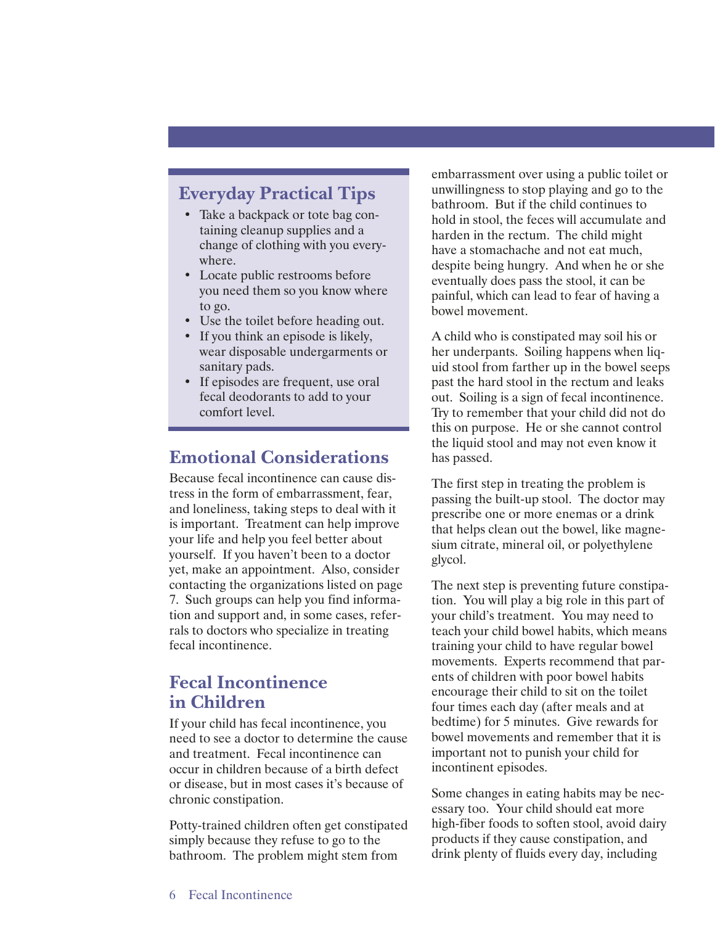# **Everyday Practical Tips**

- Take a backpack or tote bag containing cleanup supplies and a change of clothing with you everywhere.
- Locate public restrooms before you need them so you know where to go.
- Use the toilet before heading out.
- If you think an episode is likely, wear disposable undergarments or sanitary pads.
- If episodes are frequent, use oral fecal deodorants to add to your comfort level.

# **Emotional Considerations**

Because fecal incontinence can cause distress in the form of embarrassment, fear, and loneliness, taking steps to deal with it is important. Treatment can help improve your life and help you feel better about yourself. If you haven't been to a doctor yet, make an appointment. Also, consider contacting the organizations listed on page 7. Such groups can help you find information and support and, in some cases, referrals to doctors who specialize in treating fecal incontinence.

# **Fecal Incontinence in Children**

If your child has fecal incontinence, you need to see a doctor to determine the cause and treatment. Fecal incontinence can occur in children because of a birth defect or disease, but in most cases it's because of chronic constipation.

Potty-trained children often get constipated simply because they refuse to go to the bathroom. The problem might stem from

embarrassment over using a public toilet or unwillingness to stop playing and go to the bathroom. But if the child continues to hold in stool, the feces will accumulate and harden in the rectum. The child might have a stomachache and not eat much, despite being hungry. And when he or she eventually does pass the stool, it can be painful, which can lead to fear of having a bowel movement.

A child who is constipated may soil his or her underpants. Soiling happens when liquid stool from farther up in the bowel seeps past the hard stool in the rectum and leaks out. Soiling is a sign of fecal incontinence. Try to remember that your child did not do this on purpose. He or she cannot control the liquid stool and may not even know it has passed.

The first step in treating the problem is passing the built-up stool. The doctor may prescribe one or more enemas or a drink that helps clean out the bowel, like magnesium citrate, mineral oil, or polyethylene glycol.

The next step is preventing future constipation. You will play a big role in this part of your child's treatment. You may need to teach your child bowel habits, which means training your child to have regular bowel movements. Experts recommend that parents of children with poor bowel habits encourage their child to sit on the toilet four times each day (after meals and at bedtime) for 5 minutes. Give rewards for bowel movements and remember that it is important not to punish your child for incontinent episodes.

Some changes in eating habits may be necessary too. Your child should eat more high-fiber foods to soften stool, avoid dairy products if they cause constipation, and drink plenty of fluids every day, including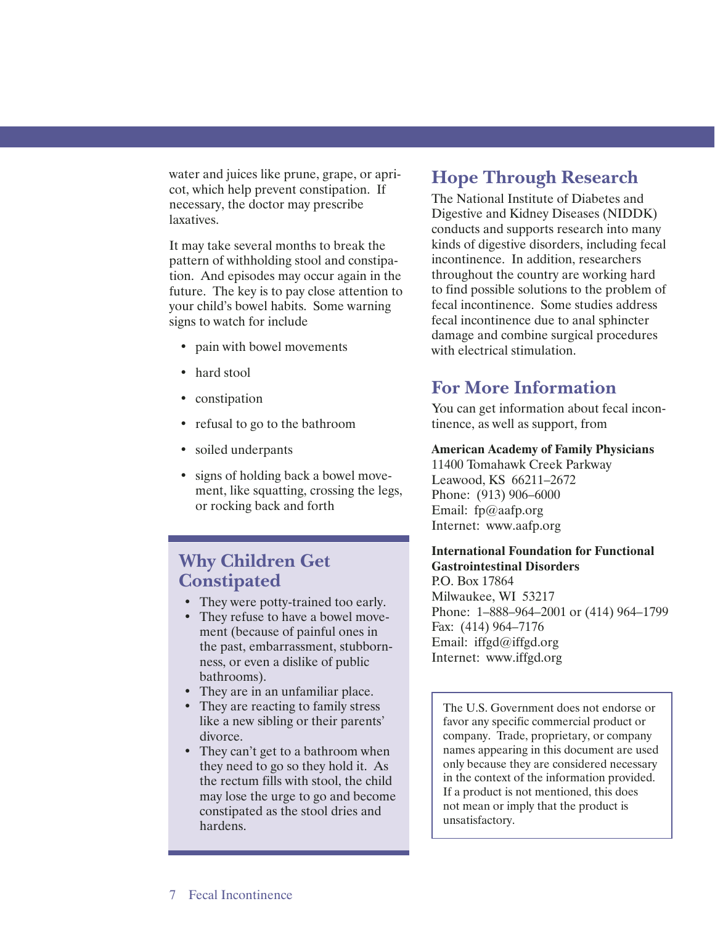water and juices like prune, grape, or apricot, which help prevent constipation. If necessary, the doctor may prescribe laxatives.

It may take several months to break the pattern of withholding stool and constipation. And episodes may occur again in the future. The key is to pay close attention to your child's bowel habits. Some warning signs to watch for include

- pain with bowel movements
- hard stool
- constipation
- refusal to go to the bathroom
- soiled underpants
- signs of holding back a bowel movement, like squatting, crossing the legs, or rocking back and forth

# **Why Children Get Constipated**

- They were potty-trained too early.
- They refuse to have a bowel movement (because of painful ones in the past, embarrassment, stubbornness, or even a dislike of public bathrooms).
- They are in an unfamiliar place.
- They are reacting to family stress like a new sibling or their parents' divorce.
- They can't get to a bathroom when they need to go so they hold it. As the rectum fills with stool, the child may lose the urge to go and become constipated as the stool dries and hardens.

## **Hope Through Research**

The National Institute of Diabetes and Digestive and Kidney Diseases (NIDDK) conducts and supports research into many kinds of digestive disorders, including fecal incontinence. In addition, researchers throughout the country are working hard to find possible solutions to the problem of fecal incontinence. Some studies address fecal incontinence due to anal sphincter damage and combine surgical procedures with electrical stimulation.

## **For More Information**

You can get information about fecal incontinence, as well as support, from

#### **American Academy of Family Physicians**

11400 Tomahawk Creek Parkway Leawood, KS 66211–2672 Phone: (913) 906–6000 Email: fp@aafp.org Internet: www.aafp.org

#### **International Foundation for Functional Gastrointestinal Disorders**

P.O. Box 17864 Milwaukee, WI 53217 Phone: 1–888–964–2001 or (414) 964–1799 Fax: (414) 964–7176 Email: iffgd@iffgd.org Internet: www.iffgd.org

The U.S. Government does not endorse or favor any specific commercial product or company. Trade, proprietary, or company names appearing in this document are used only because they are considered necessary in the context of the information provided. If a product is not mentioned, this does not mean or imply that the product is unsatisfactory.